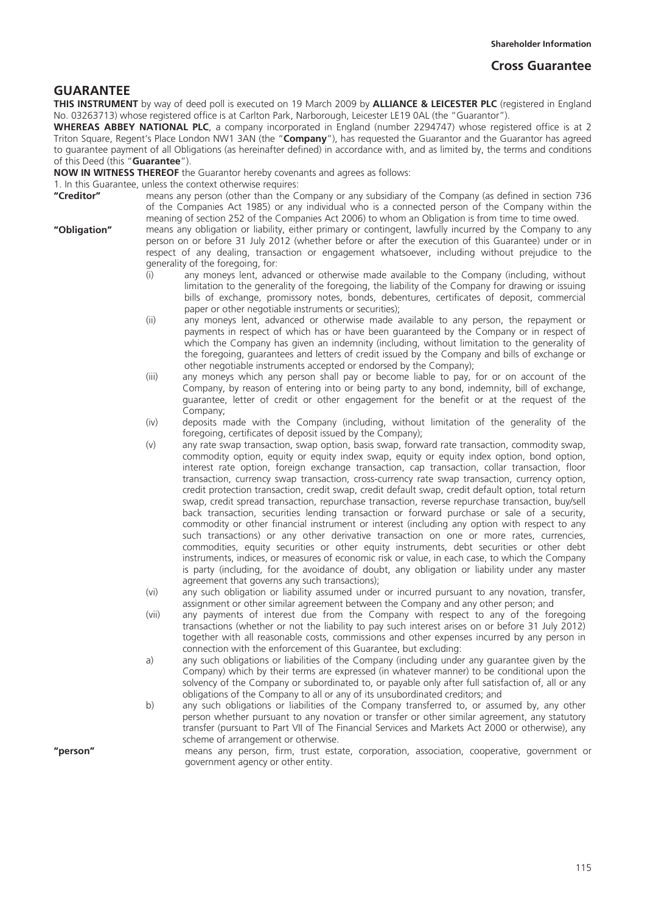## **GUARANTEE**

**THIS INSTRUMENT** by way of deed poll is executed on 19 March 2009 by **ALLIANCE & LEICESTER PLC** (registered in England No. 03263713) whose registered office is at Carlton Park, Narborough, Leicester LE19 0AL (the "Guarantor").

**WHEREAS ABBEY NATIONAL PLC**, a company incorporated in England (number 2294747) whose registered office is at 2 Triton Square, Regent's Place London NW1 3AN (the "**Company**"), has requested the Guarantor and the Guarantor has agreed to guarantee payment of all Obligations (as hereinafter defined) in accordance with, and as limited by, the terms and conditions of this Deed (this "**Guarantee**").

**NOW IN WITNESS THEREOF** the Guarantor hereby covenants and agrees as follows:

1. In this Guarantee, unless the context otherwise requires:<br>"Creditor" means any person (other than the C

- means any person (other than the Company or any subsidiary of the Company (as defined in section 736 of the Companies Act 1985) or any individual who is a connected person of the Company within the meaning of section 252 of the Companies Act 2006) to whom an Obligation is from time to time owed.
- **"Obligation"** means any obligation or liability, either primary or contingent, lawfully incurred by the Company to any person on or before 31 July 2012 (whether before or after the execution of this Guarantee) under or in respect of any dealing, transaction or engagement whatsoever, including without prejudice to the generality of the foregoing, for:
	- (i) any moneys lent, advanced or otherwise made available to the Company (including, without limitation to the generality of the foregoing, the liability of the Company for drawing or issuing bills of exchange, promissory notes, bonds, debentures, certificates of deposit, commercial paper or other negotiable instruments or securities);
	- (ii) any moneys lent, advanced or otherwise made available to any person, the repayment or payments in respect of which has or have been guaranteed by the Company or in respect of which the Company has given an indemnity (including, without limitation to the generality of the foregoing, guarantees and letters of credit issued by the Company and bills of exchange or other negotiable instruments accepted or endorsed by the Company);
	- (iii) any moneys which any person shall pay or become liable to pay, for or on account of the Company, by reason of entering into or being party to any bond, indemnity, bill of exchange, guarantee, letter of credit or other engagement for the benefit or at the request of the Company;
	- (iv) deposits made with the Company (including, without limitation of the generality of the foregoing, certificates of deposit issued by the Company);
	- (v) any rate swap transaction, swap option, basis swap, forward rate transaction, commodity swap, commodity option, equity or equity index swap, equity or equity index option, bond option, interest rate option, foreign exchange transaction, cap transaction, collar transaction, floor transaction, currency swap transaction, cross-currency rate swap transaction, currency option, credit protection transaction, credit swap, credit default swap, credit default option, total return swap, credit spread transaction, repurchase transaction, reverse repurchase transaction, buy/sell back transaction, securities lending transaction or forward purchase or sale of a security, commodity or other financial instrument or interest (including any option with respect to any such transactions) or any other derivative transaction on one or more rates, currencies, commodities, equity securities or other equity instruments, debt securities or other debt instruments, indices, or measures of economic risk or value, in each case, to which the Company is party (including, for the avoidance of doubt, any obligation or liability under any master agreement that governs any such transactions);
	- (vi) any such obligation or liability assumed under or incurred pursuant to any novation, transfer, assignment or other similar agreement between the Company and any other person; and
	- (vii) any payments of interest due from the Company with respect to any of the foregoing transactions (whether or not the liability to pay such interest arises on or before 31 July 2012) together with all reasonable costs, commissions and other expenses incurred by any person in connection with the enforcement of this Guarantee, but excluding:
	- a) any such obligations or liabilities of the Company (including under any guarantee given by the Company) which by their terms are expressed (in whatever manner) to be conditional upon the solvency of the Company or subordinated to, or payable only after full satisfaction of, all or any obligations of the Company to all or any of its unsubordinated creditors; and
	- b) any such obligations or liabilities of the Company transferred to, or assumed by, any other person whether pursuant to any novation or transfer or other similar agreement, any statutory transfer (pursuant to Part VII of The Financial Services and Markets Act 2000 or otherwise), any scheme of arrangement or otherwise.

**"person"** means any person, firm, trust estate, corporation, association, cooperative, government or government agency or other entity.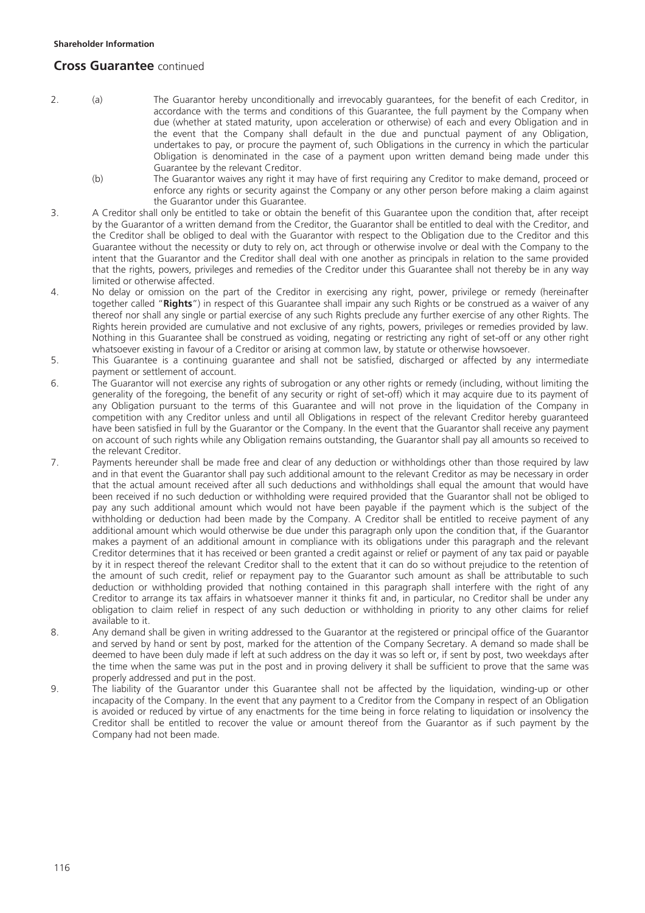## **Cross Guarantee** continued

- 2. (a) The Guarantor hereby unconditionally and irrevocably guarantees, for the benefit of each Creditor, in accordance with the terms and conditions of this Guarantee, the full payment by the Company when due (whether at stated maturity, upon acceleration or otherwise) of each and every Obligation and in the event that the Company shall default in the due and punctual payment of any Obligation, undertakes to pay, or procure the payment of, such Obligations in the currency in which the particular Obligation is denominated in the case of a payment upon written demand being made under this Guarantee by the relevant Creditor.
	- (b) The Guarantor waives any right it may have of first requiring any Creditor to make demand, proceed or enforce any rights or security against the Company or any other person before making a claim against the Guarantor under this Guarantee.
- 3. A Creditor shall only be entitled to take or obtain the benefit of this Guarantee upon the condition that, after receipt by the Guarantor of a written demand from the Creditor, the Guarantor shall be entitled to deal with the Creditor, and the Creditor shall be obliged to deal with the Guarantor with respect to the Obligation due to the Creditor and this Guarantee without the necessity or duty to rely on, act through or otherwise involve or deal with the Company to the intent that the Guarantor and the Creditor shall deal with one another as principals in relation to the same provided that the rights, powers, privileges and remedies of the Creditor under this Guarantee shall not thereby be in any way limited or otherwise affected.
- 4. No delay or omission on the part of the Creditor in exercising any right, power, privilege or remedy (hereinafter together called "**Rights**") in respect of this Guarantee shall impair any such Rights or be construed as a waiver of any thereof nor shall any single or partial exercise of any such Rights preclude any further exercise of any other Rights. The Rights herein provided are cumulative and not exclusive of any rights, powers, privileges or remedies provided by law. Nothing in this Guarantee shall be construed as voiding, negating or restricting any right of set-off or any other right whatsoever existing in favour of a Creditor or arising at common law, by statute or otherwise howsoever.
- 5. This Guarantee is a continuing guarantee and shall not be satisfied, discharged or affected by any intermediate payment or settlement of account.
- 6. The Guarantor will not exercise any rights of subrogation or any other rights or remedy (including, without limiting the generality of the foregoing, the benefit of any security or right of set-off) which it may acquire due to its payment of any Obligation pursuant to the terms of this Guarantee and will not prove in the liquidation of the Company in competition with any Creditor unless and until all Obligations in respect of the relevant Creditor hereby guaranteed have been satisfied in full by the Guarantor or the Company. In the event that the Guarantor shall receive any payment on account of such rights while any Obligation remains outstanding, the Guarantor shall pay all amounts so received to the relevant Creditor.
- 7. Payments hereunder shall be made free and clear of any deduction or withholdings other than those required by law and in that event the Guarantor shall pay such additional amount to the relevant Creditor as may be necessary in order that the actual amount received after all such deductions and withholdings shall equal the amount that would have been received if no such deduction or withholding were required provided that the Guarantor shall not be obliged to pay any such additional amount which would not have been payable if the payment which is the subject of the withholding or deduction had been made by the Company. A Creditor shall be entitled to receive payment of any additional amount which would otherwise be due under this paragraph only upon the condition that, if the Guarantor makes a payment of an additional amount in compliance with its obligations under this paragraph and the relevant Creditor determines that it has received or been granted a credit against or relief or payment of any tax paid or payable by it in respect thereof the relevant Creditor shall to the extent that it can do so without prejudice to the retention of the amount of such credit, relief or repayment pay to the Guarantor such amount as shall be attributable to such deduction or withholding provided that nothing contained in this paragraph shall interfere with the right of any Creditor to arrange its tax affairs in whatsoever manner it thinks fit and, in particular, no Creditor shall be under any obligation to claim relief in respect of any such deduction or withholding in priority to any other claims for relief available to it.
- 8. Any demand shall be given in writing addressed to the Guarantor at the registered or principal office of the Guarantor and served by hand or sent by post, marked for the attention of the Company Secretary. A demand so made shall be deemed to have been duly made if left at such address on the day it was so left or, if sent by post, two weekdays after the time when the same was put in the post and in proving delivery it shall be sufficient to prove that the same was properly addressed and put in the post.
- 9. The liability of the Guarantor under this Guarantee shall not be affected by the liquidation, winding-up or other incapacity of the Company. In the event that any payment to a Creditor from the Company in respect of an Obligation is avoided or reduced by virtue of any enactments for the time being in force relating to liquidation or insolvency the Creditor shall be entitled to recover the value or amount thereof from the Guarantor as if such payment by the Company had not been made.